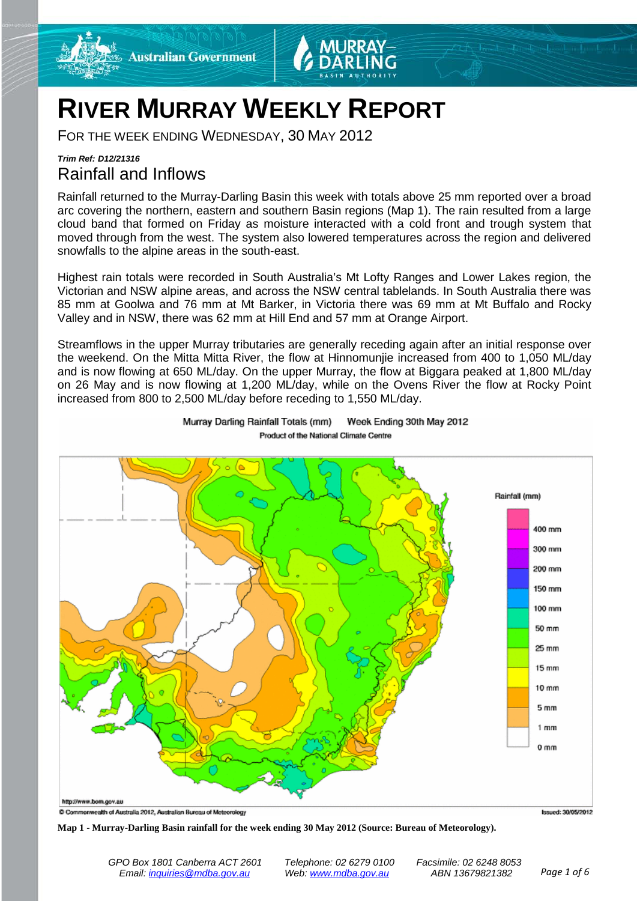



# **RIVER MURRAY WEEKLY REPORT**

FOR THE WEEK ENDING WEDNESDAY, 30 MAY 2012

### *Trim Ref: D12/21316* Rainfall and Inflows

Rainfall returned to the Murray-Darling Basin this week with totals above 25 mm reported over a broad arc covering the northern, eastern and southern Basin regions (Map 1). The rain resulted from a large cloud band that formed on Friday as moisture interacted with a cold front and trough system that moved through from the west. The system also lowered temperatures across the region and delivered snowfalls to the alpine areas in the south-east.

Highest rain totals were recorded in South Australia's Mt Lofty Ranges and Lower Lakes region, the Victorian and NSW alpine areas, and across the NSW central tablelands. In South Australia there was 85 mm at Goolwa and 76 mm at Mt Barker, in Victoria there was 69 mm at Mt Buffalo and Rocky Valley and in NSW, there was 62 mm at Hill End and 57 mm at Orange Airport.

Streamflows in the upper Murray tributaries are generally receding again after an initial response over the weekend. On the Mitta Mitta River, the flow at Hinnomunjie increased from 400 to 1,050 ML/day and is now flowing at 650 ML/day. On the upper Murray, the flow at Biggara peaked at 1,800 ML/day on 26 May and is now flowing at 1,200 ML/day, while on the Ovens River the flow at Rocky Point increased from 800 to 2,500 ML/day before receding to 1,550 ML/day.



Murray Darling Rainfall Totals (mm) Week Ending 30th May 2012 Product of the National Climate Centre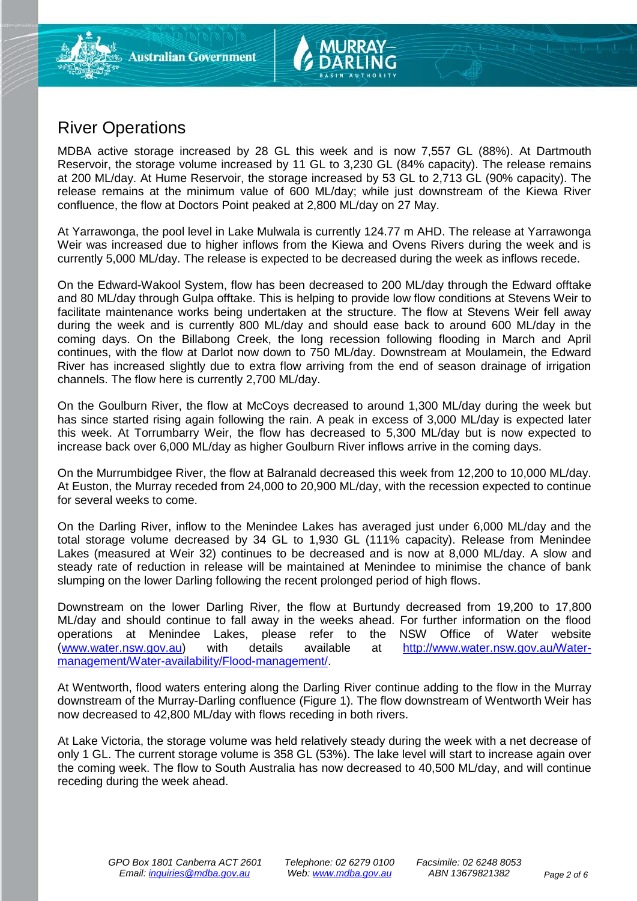## River Operations

MDBA active storage increased by 28 GL this week and is now 7,557 GL (88%). At Dartmouth Reservoir, the storage volume increased by 11 GL to 3,230 GL (84% capacity). The release remains at 200 ML/day. At Hume Reservoir, the storage increased by 53 GL to 2,713 GL (90% capacity). The release remains at the minimum value of 600 ML/day; while just downstream of the Kiewa River confluence, the flow at Doctors Point peaked at 2,800 ML/day on 27 May.

At Yarrawonga, the pool level in Lake Mulwala is currently 124.77 m AHD. The release at Yarrawonga Weir was increased due to higher inflows from the Kiewa and Ovens Rivers during the week and is currently 5,000 ML/day. The release is expected to be decreased during the week as inflows recede.

On the Edward-Wakool System, flow has been decreased to 200 ML/day through the Edward offtake and 80 ML/day through Gulpa offtake. This is helping to provide low flow conditions at Stevens Weir to facilitate maintenance works being undertaken at the structure. The flow at Stevens Weir fell away during the week and is currently 800 ML/day and should ease back to around 600 ML/day in the coming days. On the Billabong Creek, the long recession following flooding in March and April continues, with the flow at Darlot now down to 750 ML/day. Downstream at Moulamein, the Edward River has increased slightly due to extra flow arriving from the end of season drainage of irrigation channels. The flow here is currently 2,700 ML/day.

On the Goulburn River, the flow at McCoys decreased to around 1,300 ML/day during the week but has since started rising again following the rain. A peak in excess of 3,000 ML/day is expected later this week. At Torrumbarry Weir, the flow has decreased to 5,300 ML/day but is now expected to increase back over 6,000 ML/day as higher Goulburn River inflows arrive in the coming days.

On the Murrumbidgee River, the flow at Balranald decreased this week from 12,200 to 10,000 ML/day. At Euston, the Murray receded from 24,000 to 20,900 ML/day, with the recession expected to continue for several weeks to come.

On the Darling River, inflow to the Menindee Lakes has averaged just under 6,000 ML/day and the total storage volume decreased by 34 GL to 1,930 GL (111% capacity). Release from Menindee Lakes (measured at Weir 32) continues to be decreased and is now at 8,000 ML/day. A slow and steady rate of reduction in release will be maintained at Menindee to minimise the chance of bank slumping on the lower Darling following the recent prolonged period of high flows.

Downstream on the lower Darling River, the flow at Burtundy decreased from 19,200 to 17,800 ML/day and should continue to fall away in the weeks ahead. For further information on the flood operations at Menindee Lakes. please refer to the NSW Office of Water website operations at Menindee Lakes, please refer to the NSW Office of Water [\(www.water.nsw.gov.au\)](http://www.water.nsw.gov.au/) with details available at [http://www.water.nsw.gov.au/Water](http://www.water.nsw.gov.au/Water-management/Water-availability/Flood-management/)[management/Water-availability/Flood-management/.](http://www.water.nsw.gov.au/Water-management/Water-availability/Flood-management/)

At Wentworth, flood waters entering along the Darling River continue adding to the flow in the Murray downstream of the Murray-Darling confluence (Figure 1). The flow downstream of Wentworth Weir has now decreased to 42,800 ML/day with flows receding in both rivers.

At Lake Victoria, the storage volume was held relatively steady during the week with a net decrease of only 1 GL. The current storage volume is 358 GL (53%). The lake level will start to increase again over the coming week. The flow to South Australia has now decreased to 40,500 ML/day, and will continue receding during the week ahead.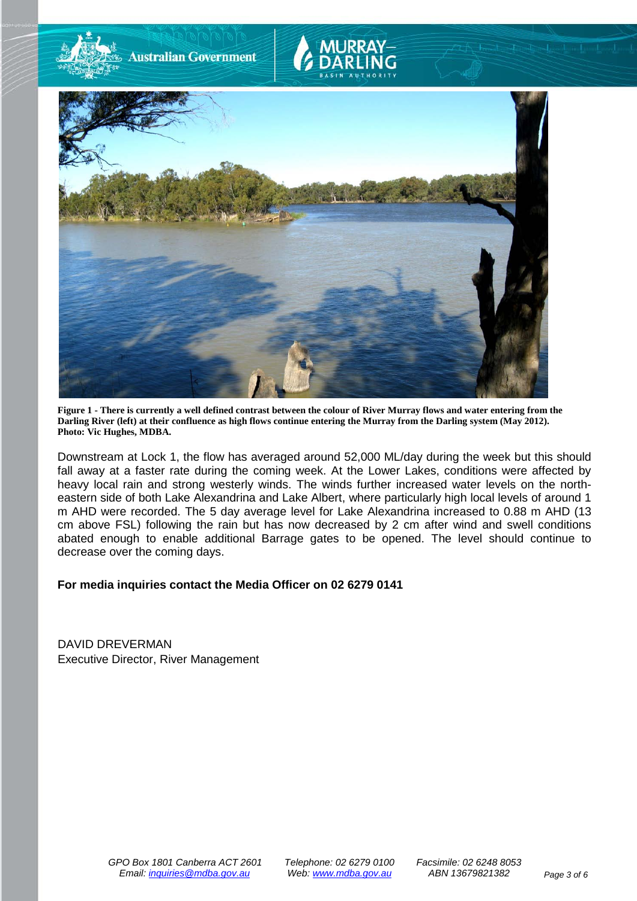

**Figure 1 - There is currently a well defined contrast between the colour of River Murray flows and water entering from the Darling River (left) at their confluence as high flows continue entering the Murray from the Darling system (May 2012). Photo: Vic Hughes, MDBA.**

Downstream at Lock 1, the flow has averaged around 52,000 ML/day during the week but this should fall away at a faster rate during the coming week. At the Lower Lakes, conditions were affected by heavy local rain and strong westerly winds. The winds further increased water levels on the northeastern side of both Lake Alexandrina and Lake Albert, where particularly high local levels of around 1 m AHD were recorded. The 5 day average level for Lake Alexandrina increased to 0.88 m AHD (13 cm above FSL) following the rain but has now decreased by 2 cm after wind and swell conditions abated enough to enable additional Barrage gates to be opened. The level should continue to decrease over the coming days.

#### **For media inquiries contact the Media Officer on 02 6279 0141**

DAVID DREVERMAN Executive Director, River Management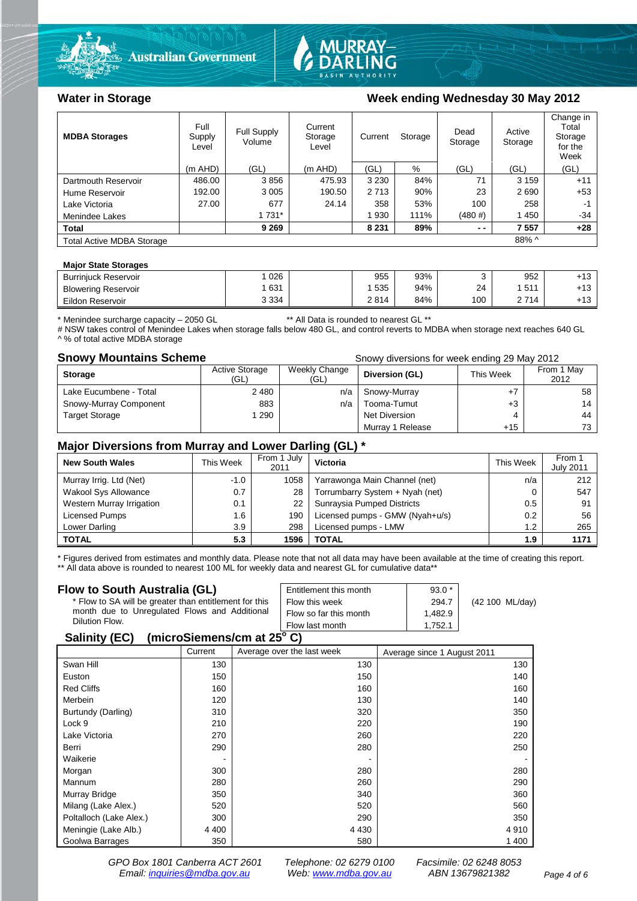



| <b>MDBA Storages</b>             | Full<br>Supply<br>Level | Full Supply<br>Volume | Current<br>Storage<br>Level | Current | Storage | Dead<br>Storage | Active<br>Storage | Change in<br>Total<br>Storage<br>for the<br>Week |
|----------------------------------|-------------------------|-----------------------|-----------------------------|---------|---------|-----------------|-------------------|--------------------------------------------------|
|                                  | $(m$ AHD)               | (GL)                  | $(m$ AHD)                   | (GL)    | $\%$    | (GL)            | (GL)              | (GL)                                             |
| Dartmouth Reservoir              | 486.00                  | 3856                  | 475.93                      | 3 2 3 0 | 84%     | 71              | 3 1 5 9           | $+11$                                            |
| Hume Reservoir                   | 192.00                  | 3 0 0 5               | 190.50                      | 2 7 1 3 | 90%     | 23              | 2690              | $+53$                                            |
| Lake Victoria                    | 27.00                   | 677                   | 24.14                       | 358     | 53%     | 100             | 258               | -1                                               |
| Menindee Lakes                   |                         | 1 7 3 1 *             |                             | 1 9 3 0 | 111%    | $(480 \# )$     | 1450              | $-34$                                            |
| <b>Total</b>                     |                         | 9 2 6 9               |                             | 8 2 3 1 | 89%     | $ -$            | 7557              | $+28$                                            |
| <b>Total Active MDBA Storage</b> |                         |                       |                             |         |         |                 | $88\%$ ^          |                                                  |

#### **Major State Storages**

| <b>Burriniuck Reservoir</b> | 026     | 955  | 93% |     | 952              | .42<br>- 3 |
|-----------------------------|---------|------|-----|-----|------------------|------------|
| <b>Blowering Reservoir</b>  | 631     | 535  | 94% | 24  | <b>511</b><br>ັບ | $+13$      |
| Eildon Reservoir            | 3 3 3 4 | 2814 | 84% | 100 | 714              | $+13$      |
|                             |         |      |     |     |                  |            |

\* Menindee surcharge capacity – 2050 GL \*\* All Data is rounded to nearest GL \*\*

# NSW takes control of Menindee Lakes when storage falls below 480 GL, and control reverts to MDBA when storage next reaches 640 GL ^ % of total active MDBA storage

#### **Snowy Mountains Scheme Snowy diversions for week ending 29 May 2012**

| <b>Storage</b>         | <b>Active Storage</b><br>(GL) | Weekly Change<br>(GL) | Diversion (GL)   | This Week | From 1 May<br>2012 |
|------------------------|-------------------------------|-----------------------|------------------|-----------|--------------------|
| Lake Eucumbene - Total | 2480                          | n/a                   | Snowy-Murray     |           | 58                 |
| Snowy-Murray Component | 883                           | n/a                   | Tooma-Tumut      | $+3$      | 14                 |
| <b>Target Storage</b>  | 290                           |                       | Net Diversion    |           | 44                 |
|                        |                               |                       | Murray 1 Release | $+15$     | 73                 |

#### **Major Diversions from Murray and Lower Darling (GL) \***

| <b>New South Wales</b>    | This Week | From 1 July<br>2011 | Victoria                        | This Week     | From 1<br><b>July 2011</b> |
|---------------------------|-----------|---------------------|---------------------------------|---------------|----------------------------|
| Murray Irrig. Ltd (Net)   | $-1.0$    | 1058                | Yarrawonga Main Channel (net)   | n/a           | 212                        |
| Wakool Sys Allowance      | 0.7       | 28                  | Torrumbarry System + Nyah (net) |               | 547                        |
| Western Murray Irrigation | 0.1       | 22                  | Sunraysia Pumped Districts      | 0.5           | 91                         |
| Licensed Pumps            | 1.6       | 190                 | Licensed pumps - GMW (Nyah+u/s) | $0.2^{\circ}$ | 56                         |
| Lower Darling             | 3.9       | 298                 | Licensed pumps - LMW            | 1.2           | 265                        |
| <b>TOTAL</b>              | 5.3       | 1596                | TOTAL                           | 1.9           | 1171                       |

\* Figures derived from estimates and monthly data. Please note that not all data may have been available at the time of creating this report. \*\* All data above is rounded to nearest 100 ML for weekly data and nearest GL for cumulative data\*\*

#### **Flow to South Australia (GL)**

| Flow to South Australia (GL)                           | Entitlement this month | $93.0*$ | (42 100 ML/day) |
|--------------------------------------------------------|------------------------|---------|-----------------|
| * Flow to SA will be greater than entitlement for this | Flow this week         | 294.7   |                 |
| month due to Unregulated Flows and Additional          | Flow so far this month | 1.482.9 |                 |
| Dilution Flow.                                         | Flow last month        | 1.752.1 |                 |
| 0.11100                                                |                        |         |                 |

#### **Salinity (EC) (microSiemens/cm at 25o C)**

|                         | Current | Average over the last week | Average since 1 August 2011 |
|-------------------------|---------|----------------------------|-----------------------------|
| Swan Hill               | 130     | 130                        | 130                         |
| Euston                  | 150     | 150                        | 140                         |
| <b>Red Cliffs</b>       | 160     | 160                        | 160                         |
| Merbein                 | 120     | 130                        | 140                         |
| Burtundy (Darling)      | 310     | 320                        | 350                         |
| Lock 9                  | 210     | 220                        | 190                         |
| Lake Victoria           | 270     | 260                        | 220                         |
| Berri                   | 290     | 280                        | 250                         |
| Waikerie                |         |                            |                             |
| Morgan                  | 300     | 280                        | 280                         |
| Mannum                  | 280     | 260                        | 290                         |
| Murray Bridge           | 350     | 340                        | 360                         |
| Milang (Lake Alex.)     | 520     | 520                        | 560                         |
| Poltalloch (Lake Alex.) | 300     | 290                        | 350                         |
| Meningie (Lake Alb.)    | 4 4 0 0 | 4 4 3 0                    | 4910                        |
| Goolwa Barrages         | 350     | 580                        | 1 400                       |

*GPO Box 1801 Canberra ACT 2601 Telephone: 02 6279 0100 Facsimile: 02 6248 8053 Email: [inquiries@mdba.gov.au](mailto:inquiries@mdba.gov.au) Web: [www.mdba.gov.au](http://www.mdba.gov.au/) ABN 13679821382 Page 4 of 6*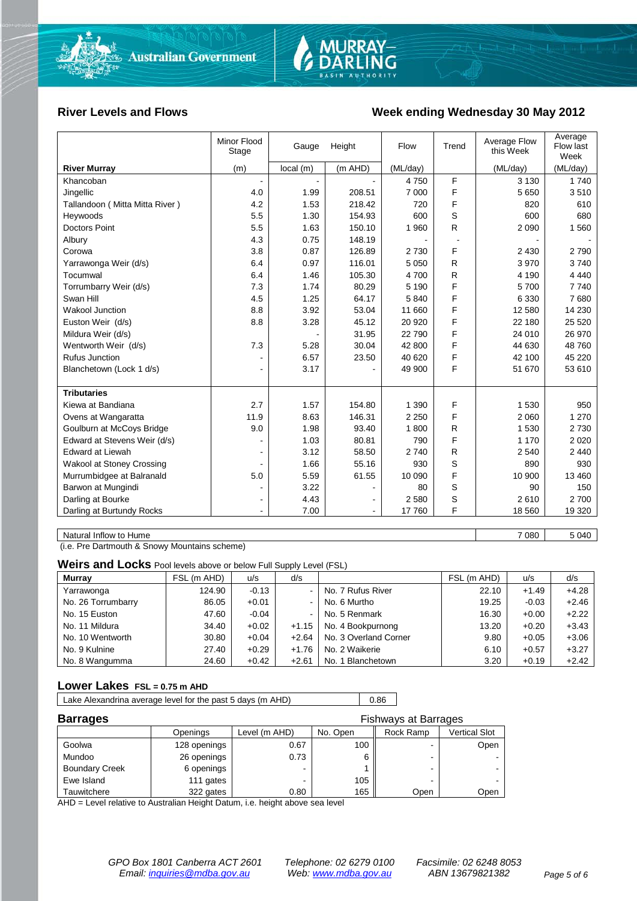

#### River Levels and Flows **Week ending Wednesday 30 May 2012**

|                                | Minor Flood<br>Stage     | Gauge                    | Height         | Flow     | Trend        | Average Flow<br>this Week | Average<br>Flow last<br>Week |
|--------------------------------|--------------------------|--------------------------|----------------|----------|--------------|---------------------------|------------------------------|
| <b>River Murray</b>            | (m)                      | local(m)                 | (m AHD)        | (ML/day) |              | (ML/day)                  | (ML/day)                     |
| Khancoban                      | $\blacksquare$           | $\overline{\phantom{a}}$ |                | 4750     | F            | 3 1 3 0                   | 1 740                        |
| Jingellic                      | 4.0                      | 1.99                     | 208.51         | 7 0 0 0  | F            | 5 6 5 0                   | 3510                         |
| Tallandoon (Mitta Mitta River) | 4.2                      | 1.53                     | 218.42         | 720      | F            | 820                       | 610                          |
| Heywoods                       | 5.5                      | 1.30                     | 154.93         | 600      | S            | 600                       | 680                          |
| <b>Doctors Point</b>           | 5.5                      | 1.63                     | 150.10         | 1 960    | R            | 2 0 9 0                   | 1 5 6 0                      |
| Albury                         | 4.3                      | 0.75                     | 148.19         |          |              |                           |                              |
| Corowa                         | 3.8                      | 0.87                     | 126.89         | 2730     | F            | 2 4 3 0                   | 2 7 9 0                      |
| Yarrawonga Weir (d/s)          | 6.4                      | 0.97                     | 116.01         | 5 0 5 0  | R            | 3 9 7 0                   | 3740                         |
| Tocumwal                       | 6.4                      | 1.46                     | 105.30         | 4700     | $\mathsf{R}$ | 4 1 9 0                   | 4 4 4 0                      |
| Torrumbarry Weir (d/s)         | 7.3                      | 1.74                     | 80.29          | 5 1 9 0  | F            | 5700                      | 7 7 4 0                      |
| Swan Hill                      | 4.5                      | 1.25                     | 64.17          | 5840     | F            | 6 3 3 0                   | 7680                         |
| Wakool Junction                | 8.8                      | 3.92                     | 53.04          | 11 660   | F            | 12 580                    | 14 2 30                      |
| Euston Weir (d/s)              | 8.8                      | 3.28                     | 45.12          | 20 9 20  | F            | 22 180                    | 25 5 20                      |
| Mildura Weir (d/s)             |                          |                          | 31.95          | 22790    | F            | 24 010                    | 26 970                       |
| Wentworth Weir (d/s)           | 7.3                      | 5.28                     | 30.04          | 42 800   | F            | 44 630                    | 48 760                       |
| <b>Rufus Junction</b>          |                          | 6.57                     | 23.50          | 40 620   | F            | 42 100                    | 45 2 20                      |
| Blanchetown (Lock 1 d/s)       | $\overline{\phantom{a}}$ | 3.17                     |                | 49 900   | F            | 51 670                    | 53 610                       |
|                                |                          |                          |                |          |              |                           |                              |
| <b>Tributaries</b>             |                          |                          |                |          |              |                           |                              |
| Kiewa at Bandiana              | 2.7                      | 1.57                     | 154.80         | 1 3 9 0  | F            | 1 5 3 0                   | 950                          |
| Ovens at Wangaratta            | 11.9                     | 8.63                     | 146.31         | 2 2 5 0  | F            | 2 0 6 0                   | 1 2 7 0                      |
| Goulburn at McCoys Bridge      | 9.0                      | 1.98                     | 93.40          | 1800     | R            | 1 5 3 0                   | 2 7 3 0                      |
| Edward at Stevens Weir (d/s)   | $\overline{a}$           | 1.03                     | 80.81          | 790      | F            | 1 1 7 0                   | 2 0 2 0                      |
| <b>Edward at Liewah</b>        | $\blacksquare$           | 3.12                     | 58.50          | 2740     | R            | 2 5 4 0                   | 2 4 4 0                      |
| Wakool at Stoney Crossing      |                          | 1.66                     | 55.16          | 930      | S            | 890                       | 930                          |
| Murrumbidgee at Balranald      | 5.0                      | 5.59                     | 61.55          | 10 090   | F            | 10 900                    | 13 460                       |
| Barwon at Mungindi             | ۰                        | 3.22                     |                | 80       | S            | 90                        | 150                          |
| Darling at Bourke              | $\blacksquare$           | 4.43                     | $\blacksquare$ | 2580     | S            | 2610                      | 2700                         |
| Darling at Burtundy Rocks      | ٠                        | 7.00                     |                | 17760    | F            | 18 560                    | 19 3 20                      |
|                                |                          |                          |                |          |              |                           |                              |

Natural Inflow to Hume 5 040

(i.e. Pre Dartmouth & Snowy Mountains scheme)

**Weirs and Locks** Pool levels above or below Full Supply Level (FSL)

| <b>Murray</b>      | FSL (m AHD) | u/s     | d/s     |                       | FSL (m AHD) | u/s     | d/s     |
|--------------------|-------------|---------|---------|-----------------------|-------------|---------|---------|
| Yarrawonga         | 124.90      | $-0.13$ |         | No. 7 Rufus River     | 22.10       | $+1.49$ | $+4.28$ |
| No. 26 Torrumbarry | 86.05       | $+0.01$ |         | No. 6 Murtho          | 19.25       | $-0.03$ | $+2.46$ |
| No. 15 Euston      | 47.60       | $-0.04$ |         | No. 5 Renmark         | 16.30       | $+0.00$ | $+2.22$ |
| No. 11 Mildura     | 34.40       | $+0.02$ | $+1.15$ | No. 4 Bookpurnong     | 13.20       | $+0.20$ | $+3.43$ |
| No. 10 Wentworth   | 30.80       | $+0.04$ | $+2.64$ | No. 3 Overland Corner | 9.80        | $+0.05$ | $+3.06$ |
| No. 9 Kulnine      | 27.40       | $+0.29$ | $+1.76$ | No. 2 Waikerie        | 6.10        | $+0.57$ | $+3.27$ |
| No. 8 Wangumma     | 24.60       | $+0.42$ | $+2.61$ | No. 1 Blanchetown     | 3.20        | $+0.19$ | $+2.42$ |

#### **Lower Lakes FSL = 0.75 m AHD**

Lake Alexandrina average level for the past 5 days (m AHD) 0.86

| <b>Barrages</b>       | <b>Fishways at Barrages</b> |               |          |           |                      |
|-----------------------|-----------------------------|---------------|----------|-----------|----------------------|
|                       | Openings                    | Level (m AHD) | No. Open | Rock Ramp | <b>Vertical Slot</b> |
| Goolwa                | 128 openings                | 0.67          | 100      | -         | Open                 |
| Mundoo                | 26 openings                 | 0.73          | 6        | -         |                      |
| <b>Boundary Creek</b> | 6 openings                  |               |          | -         |                      |
| Ewe Island            | 111 gates                   |               | 105      | -         |                      |
| Tauwitchere           | 322 gates                   | 0.80          | 165      | Open      | Open                 |

AHD = Level relative to Australian Height Datum, i.e. height above sea level